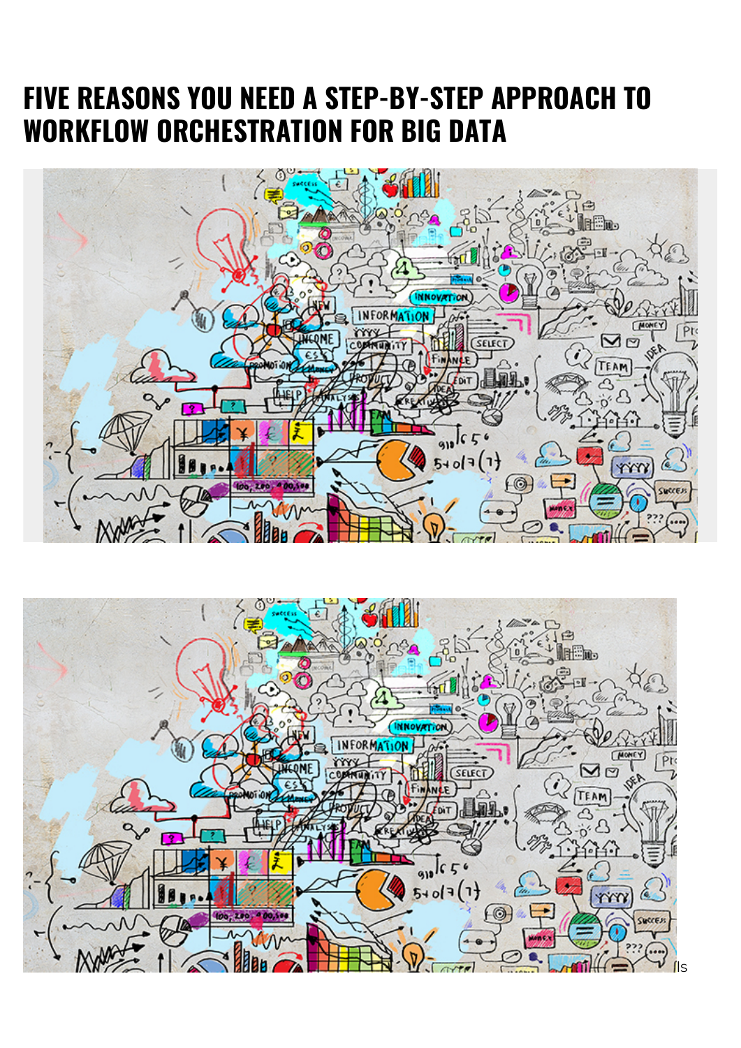# **FIVE REASONS YOU NEED A STEP-BY-STEP APPROACH TO WORKFLOW ORCHESTRATION FOR BIG DATA**



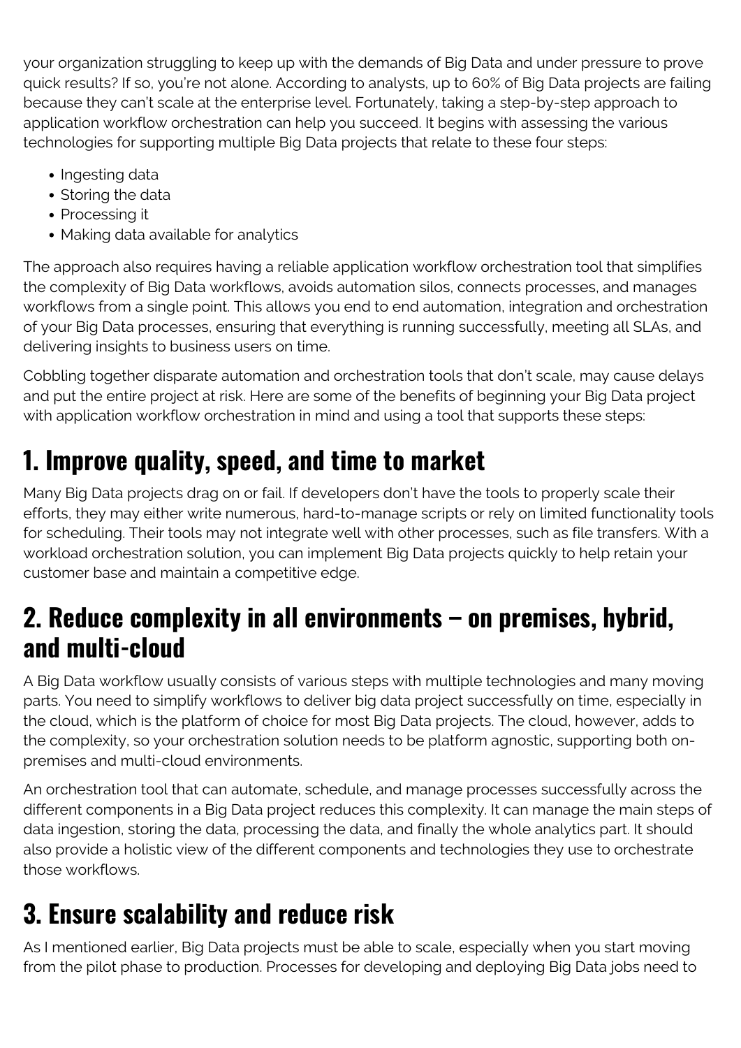your organization struggling to keep up with the demands of Big Data and under pressure to prove quick results? If so, you're not alone. According to analysts, up to 60% of Big Data projects are failing because they can't scale at the enterprise level. Fortunately, taking a step-by-step approach to application workflow orchestration can help you succeed. It begins with assessing the various technologies for supporting multiple Big Data projects that relate to these four steps:

- Ingesting data
- Storing the data
- Processing it
- Making data available for analytics

The approach also requires having a reliable application workflow orchestration tool that simplifies the complexity of Big Data workflows, avoids automation silos, connects processes, and manages workflows from a single point. This allows you end to end automation, integration and orchestration of your Big Data processes, ensuring that everything is running successfully, meeting all SLAs, and delivering insights to business users on time.

Cobbling together disparate automation and orchestration tools that don't scale, may cause delays and put the entire project at risk. Here are some of the benefits of beginning your Big Data project with application workflow orchestration in mind and using a tool that supports these steps:

### **1. Improve quality, speed, and time to market**

Many Big Data projects drag on or fail. If developers don't have the tools to properly scale their efforts, they may either write numerous, hard-to-manage scripts or rely on limited functionality tools for scheduling. Their tools may not integrate well with other processes, such as file transfers. With a workload orchestration solution, you can implement Big Data projects quickly to help retain your customer base and maintain a competitive edge.

#### **2. Reduce complexity in all environments – on premises, hybrid, and multi-cloud**

A Big Data workflow usually consists of various steps with multiple technologies and many moving parts. You need to simplify workflows to deliver big data project successfully on time, especially in the cloud, which is the platform of choice for most Big Data projects. The cloud, however, adds to the complexity, so your orchestration solution needs to be platform agnostic, supporting both onpremises and multi-cloud environments.

An orchestration tool that can automate, schedule, and manage processes successfully across the different components in a Big Data project reduces this complexity. It can manage the main steps of data ingestion, storing the data, processing the data, and finally the whole analytics part. It should also provide a holistic view of the different components and technologies they use to orchestrate those workflows.

### **3. Ensure scalability and reduce risk**

As I mentioned earlier, Big Data projects must be able to scale, especially when you start moving from the pilot phase to production. Processes for developing and deploying Big Data jobs need to